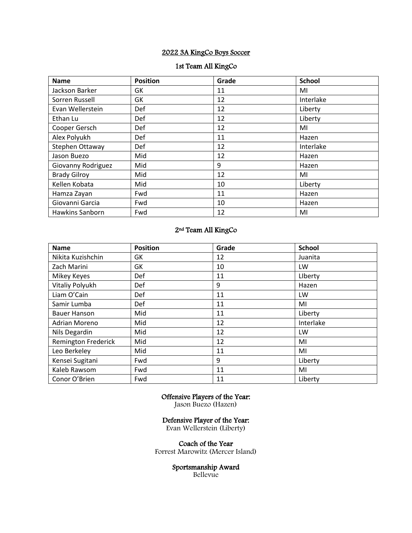# 2022 3A KingCo Boys Soccer

#### 1st Team All KingCo

| <b>Name</b>            | <b>Position</b> | Grade | <b>School</b> |
|------------------------|-----------------|-------|---------------|
| Jackson Barker         | GK              | 11    | MI            |
| Sorren Russell         | GK              | 12    | Interlake     |
| Evan Wellerstein       | Def             | 12    | Liberty       |
| Ethan Lu               | Def             | 12    | Liberty       |
| Cooper Gersch          | Def             | 12    | MI            |
| Alex Polyukh           | Def             | 11    | Hazen         |
| Stephen Ottaway        | Def             | 12    | Interlake     |
| Jason Buezo            | Mid             | 12    | Hazen         |
| Giovanny Rodriguez     | Mid             | 9     | Hazen         |
| <b>Brady Gilroy</b>    | Mid             | 12    | MI            |
| Kellen Kobata          | Mid             | 10    | Liberty       |
| Hamza Zayan            | Fwd             | 11    | Hazen         |
| Giovanni Garcia        | Fwd             | 10    | Hazen         |
| <b>Hawkins Sanborn</b> | Fwd             | 12    | MI            |

### 2nd Team All KingCo

| <b>Name</b>                | <b>Position</b> | Grade | <b>School</b> |
|----------------------------|-----------------|-------|---------------|
| Nikita Kuzishchin          | GK              | 12    | Juanita       |
| Zach Marini                | GK              | 10    | LW            |
| Mikey Keyes                | Def             | 11    | Liberty       |
| Vitaliy Polyukh            | Def             | 9     | Hazen         |
| Liam O'Cain                | Def             | 11    | LW            |
| Samir Lumba                | Def             | 11    | MI            |
| <b>Bauer Hanson</b>        | Mid             | 11    | Liberty       |
| Adrian Moreno              | Mid             | 12    | Interlake     |
| Nils Degardin              | Mid             | 12    | LW            |
| <b>Remington Frederick</b> | Mid             | 12    | MI            |
| Leo Berkeley               | Mid             | 11    | MI            |
| Kensei Sugitani            | Fwd             | 9     | Liberty       |
| Kaleb Rawsom               | Fwd             | 11    | MI            |
| Conor O'Brien              | Fwd             | 11    | Liberty       |

# Offensive Players of the Year:

Jason Buezo (Hazen)

### Defensive Player of the Year:

Evan Wellerstein (Liberty)

Coach of the Year Forrest Marowitz (Mercer Island)

#### Sportsmanship Award

Bellevue